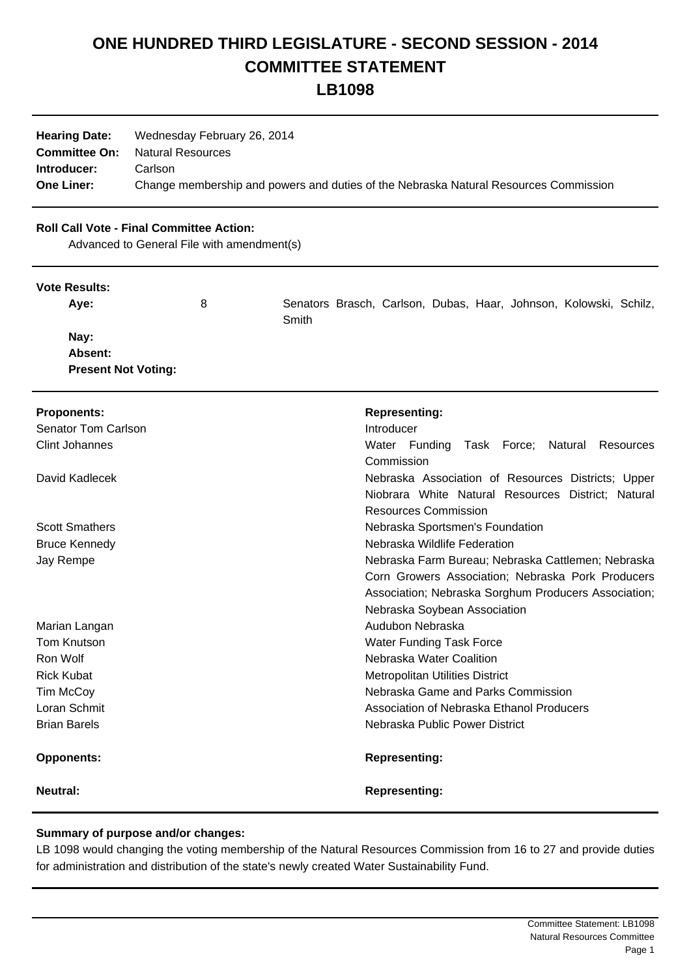# **ONE HUNDRED THIRD LEGISLATURE - SECOND SESSION - 2014 COMMITTEE STATEMENT**

**LB1098**

| <b>Hearing Date:</b> | Wednesday February 26, 2014                                                          |
|----------------------|--------------------------------------------------------------------------------------|
| <b>Committee On:</b> | <b>Natural Resources</b>                                                             |
| Introducer:          | Carlson                                                                              |
| <b>One Liner:</b>    | Change membership and powers and duties of the Nebraska Natural Resources Commission |

## **Roll Call Vote - Final Committee Action:**

Advanced to General File with amendment(s)

#### **Vote Results:**

| Ave:                       | 8 |       |  |  | Senators Brasch, Carlson, Dubas, Haar, Johnson, Kolowski, Schilz, |  |
|----------------------------|---|-------|--|--|-------------------------------------------------------------------|--|
|                            |   | Smith |  |  |                                                                   |  |
| Nay:                       |   |       |  |  |                                                                   |  |
| Absent:                    |   |       |  |  |                                                                   |  |
| <b>Present Not Voting:</b> |   |       |  |  |                                                                   |  |

| <b>Proponents:</b>    | <b>Representing:</b>                                 |  |  |  |  |  |  |
|-----------------------|------------------------------------------------------|--|--|--|--|--|--|
| Senator Tom Carlson   | Introducer                                           |  |  |  |  |  |  |
| <b>Clint Johannes</b> | Water Funding Task Force; Natural<br>Resources       |  |  |  |  |  |  |
|                       | Commission                                           |  |  |  |  |  |  |
| David Kadlecek        | Nebraska Association of Resources Districts; Upper   |  |  |  |  |  |  |
|                       | Niobrara White Natural Resources District; Natural   |  |  |  |  |  |  |
|                       | <b>Resources Commission</b>                          |  |  |  |  |  |  |
| <b>Scott Smathers</b> | Nebraska Sportsmen's Foundation                      |  |  |  |  |  |  |
| <b>Bruce Kennedy</b>  | Nebraska Wildlife Federation                         |  |  |  |  |  |  |
| Jay Rempe             | Nebraska Farm Bureau; Nebraska Cattlemen; Nebraska   |  |  |  |  |  |  |
|                       | Corn Growers Association; Nebraska Pork Producers    |  |  |  |  |  |  |
|                       | Association; Nebraska Sorghum Producers Association; |  |  |  |  |  |  |
|                       | Nebraska Soybean Association                         |  |  |  |  |  |  |
| Marian Langan         | Audubon Nebraska                                     |  |  |  |  |  |  |
| <b>Tom Knutson</b>    | <b>Water Funding Task Force</b>                      |  |  |  |  |  |  |
| Ron Wolf              | Nebraska Water Coalition                             |  |  |  |  |  |  |
| <b>Rick Kubat</b>     | <b>Metropolitan Utilities District</b>               |  |  |  |  |  |  |
| Tim McCoy             | Nebraska Game and Parks Commission                   |  |  |  |  |  |  |
| Loran Schmit          | Association of Nebraska Ethanol Producers            |  |  |  |  |  |  |
| <b>Brian Barels</b>   | Nebraska Public Power District                       |  |  |  |  |  |  |
| <b>Opponents:</b>     | <b>Representing:</b>                                 |  |  |  |  |  |  |
| Neutral:              | <b>Representing:</b>                                 |  |  |  |  |  |  |

## **Summary of purpose and/or changes:**

LB 1098 would changing the voting membership of the Natural Resources Commission from 16 to 27 and provide duties for administration and distribution of the state's newly created Water Sustainability Fund.